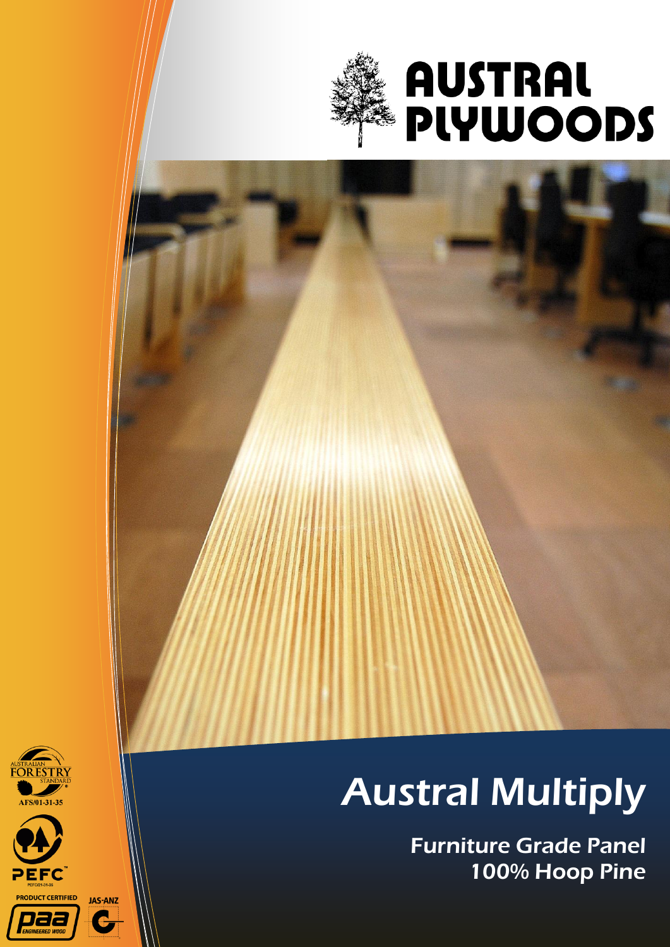

# **AUSTRAL<br>PLYWOODS**







## Austral Multiply

Furniture Grade Panel 100% Hoop Pine